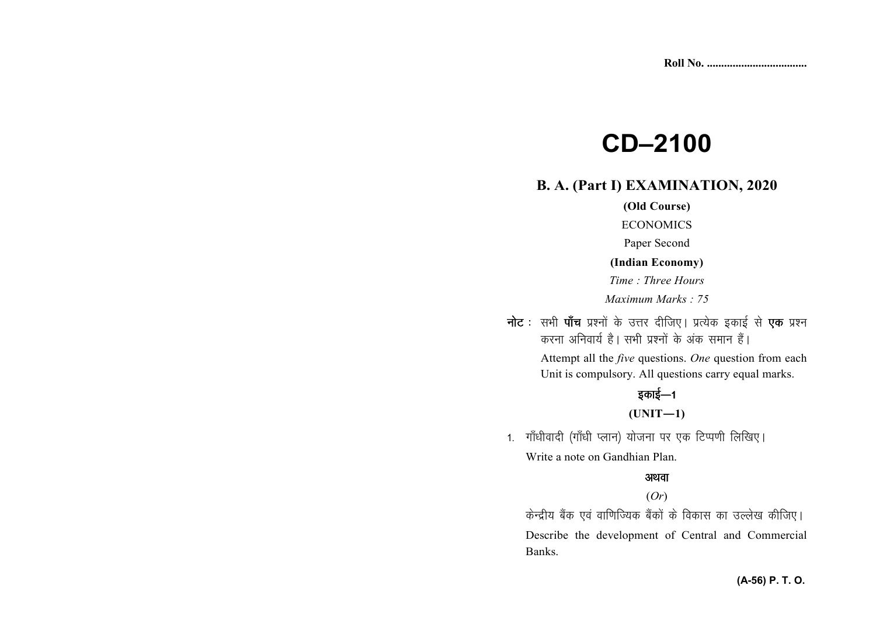# **CD–2100**

# **B. A. (Part I) EXAMINATION, 2020**

### **(Old Course)**

ECONOMICS

Paper Second

#### **(Indian Economy)**

*Time : Three Hours* 

*Maximum Marks : 75*

**नोट** : सभी **पाँच** प्रश्नों के उत्तर दीजिए। प्रत्येक इकाई से **एक** प्रश्न करना अनिवार्य है। सभी प्रश्नों के अंक समान हैं।

> Attempt all the *five* questions. *One* question from each Unit is compulsory. All questions carry equal marks.

# इकाई—1

#### **(UNIT—1)**

1. गाँधीवादी (गाँधी प्लान) योजना पर एक टिप्पणी लिखिए। Write a note on Gandhian Plan.

# अथवा

# (*Or*)

केन्द्रीय बैंक एवं वाणिज्यिक बैंकों के विकास का उल्लेख कीजिए। Describe the development of Central and Commercial Banks.